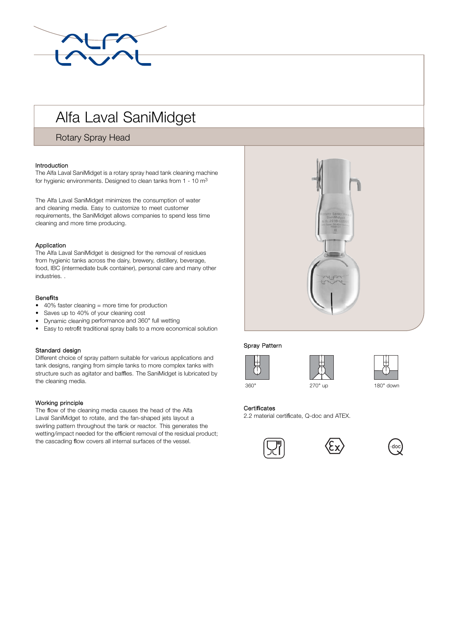

# Alfa Laval SaniMidget

Rotary Spray Head

#### **Introduction**

The Alfa Laval SaniMidget is a rotary spray head tank cleaning machine for hygienic environments. Designed to clean tanks from 1 - 10 m3

The Alfa Laval SaniMidget minimizes the consumption of water and cleaning media. Easy to customize to meet customer requirements, the SaniMidget allows companies to spend less time cleaning and more time producing.

#### Application

The Alfa Laval SaniMidget is designed for the removal of residues from hygienic tanks across the dairy, brewery, distillery, beverage, food, IBC (intermediate bulk container), personal care and many other industries. .

#### Bene**fi**ts

- 40% faster cleaning = more time for production
- Saves up to 40% of your cleaning cost
- Dynamic cleaning performance and 360° full wetting
- Easy to retrofit traditional spray balls to a more economical solution

### . Standard design

Different choice of spray pattern suitable for various applications and tank designs, ranging from simple tanks to more complex tanks with structure such as agitator and baffles. The SaniMidget is lubricated by the cleaning media.

#### Working principle

The flow of the cleaning media causes the head of the Alfa Laval SaniMidget to rotate, and the fan-shaped jets layout a swirling pattern throughout the tank or reactor. This generates the wetting/impact needed for the efficient removal of the residual product; the cascading flow covers all internal surfaces of the vessel.



### Spray Pattern







#### Certi**fi**cates

2.2 material certificate, Q-doc and ATEX.





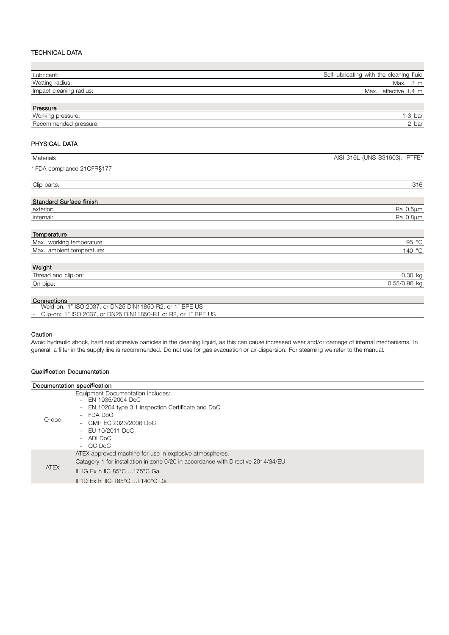#### TECHNICAL DATA

| Lubricant:              | Self-lubricating with the cleaning fluid |
|-------------------------|------------------------------------------|
| Wetting radius:         | Max. 3 m                                 |
| Impact cleaning radius: | Max. effective 1.4 m                     |
|                         |                                          |
| Dessauer                |                                          |

| <b>Droccuro</b><br>Tessure                           |       |
|------------------------------------------------------|-------|
| Working<br>pressure:                                 | bar   |
| $\overline{\phantom{0}}$<br>Recommended<br>pressure: | 2 bar |

#### PHYSICAL DATA

| Materials                                                                | AISI 316L (UNS S31603). PTFE* |
|--------------------------------------------------------------------------|-------------------------------|
| * FDA compliance 21CFR§177                                               |                               |
| Clip parts:                                                              | 316                           |
| <b>Standard Surface finish</b>                                           |                               |
| exterior:                                                                | Ra 0.5µm                      |
| internal:                                                                | Ra 0.8µm                      |
| Temperature                                                              |                               |
| Max. working temperature:                                                | 95 °C                         |
| Max. ambient temperature:                                                | 140 °C                        |
| Weight                                                                   |                               |
| Thread and clip-on:                                                      | 0.30 kg                       |
| On pipe:                                                                 | 0.55/0.90 kg                  |
| Connections<br>- Weld-on: 1" ISO 2037, or DN25 DIN11850-R2, or 1" BPE US |                               |

- Clip-on: 1" ISO 2037, or DN25 DIN11850-R1 or R2, or 1" BPE US

#### Caution

Avoid hydraulic shock, hard and abrasive particles in the cleaning liquid, as this can cause increased wear and/or damage of internal mechanisms. In general, a filter in the supply line is recommended. Do not use for gas evacuation or air dispersion. For steaming we refer to the manual.

#### Quali**fi**cation Documentation

|             | Documentation specification                                                                                                                                                                                                                           |
|-------------|-------------------------------------------------------------------------------------------------------------------------------------------------------------------------------------------------------------------------------------------------------|
| Q-doc       | Equipment Documentation includes:<br>EN 1935/2004 DoC<br>$\sim$<br>EN 10204 type 3.1 inspection Certificate and DoC<br>$\overline{\phantom{a}}$<br>FDA DoC<br>$\sim$<br>- GMP EC 2023/2006 DoC<br>EU 10/2011 DoC<br>$\sim$<br>$-$ ADI DoC<br>$-OCDOC$ |
| <b>ATEX</b> | ATEX approved machine for use in explosive atmospheres.<br>Catagory 1 for installation in zone 0/20 in accordance with Directive 2014/34/EU<br>IL1G Ex h IIC 85°C 175°C Ga<br>II 1D Ex h IIIC T85°C T140°C Da                                         |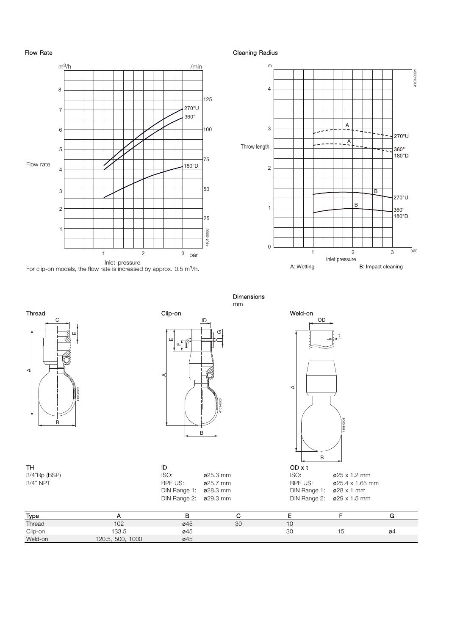#### Flow Rate



For clip-on models, the flow rate is increased by approx. 0.5 m<sup>3</sup>/h.

#### Cleaning Radius



Dimensions





| тн           | ID                               |                       | OD x t        |
|--------------|----------------------------------|-----------------------|---------------|
| 3/4"Rp (BSP) | ISO:                             | $\varnothing$ 25.3 mm | ISO:          |
| 3/4" NPT     | BPE US:                          | <b>ø</b> 25.7 mm      | BPE U         |
|              | DIN Range 1: $\emptyset$ 28.3 mm |                       | <b>DIN Ra</b> |
|              | DIN Range 2: $\emptyset$ 29.3 mm |                       | <b>DIN Ra</b> |
|              |                                  |                       |               |



3/4"Rp (BSP) ISO: ø25.3 mm ISO: ø25 x 1.2 mm 3/4 m<br>3/4 mm BPE US: *w* 25.4 x 1.65 mm<br>3/4 mm BPE US: *w* 28 x 1 mm m DIN Range 1: n **DIN Range 2: ø29 x 1.5 mm** 

| Type    |                     |     |    |    |   |    |
|---------|---------------------|-----|----|----|---|----|
| Thread  | 102                 | ø45 | 30 | 10 |   |    |
| Clip-on | 133.5               | ø45 |    | 30 | đ | ø4 |
| Weld-on | 1000<br>120.5, 500, | ø45 |    |    |   |    |

## mm